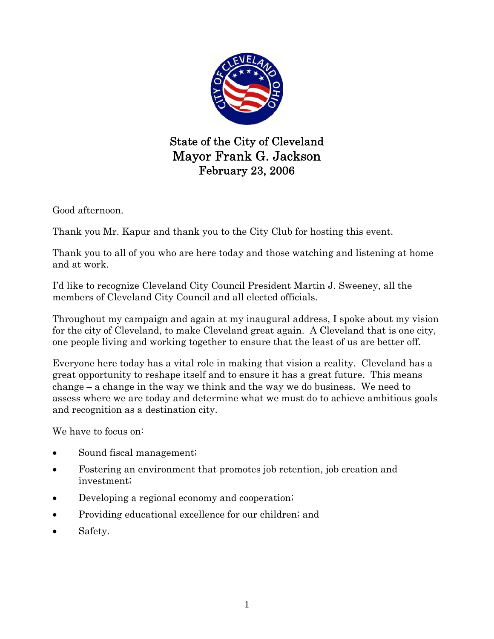

State of the City of Cleveland Mayor Frank G. Jackson February 23, 2006

Good afternoon.

Thank you Mr. Kapur and thank you to the City Club for hosting this event.

Thank you to all of you who are here today and those watching and listening at home and at work.

I'd like to recognize Cleveland City Council President Martin J. Sweeney, all the members of Cleveland City Council and all elected officials.

Throughout my campaign and again at my inaugural address, I spoke about my vision for the city of Cleveland, to make Cleveland great again. A Cleveland that is one city, one people living and working together to ensure that the least of us are better off.

Everyone here today has a vital role in making that vision a reality. Cleveland has a great opportunity to reshape itself and to ensure it has a great future. This means change – a change in the way we think and the way we do business. We need to assess where we are today and determine what we must do to achieve ambitious goals and recognition as a destination city.

We have to focus on:

- Sound fiscal management;
- Fostering an environment that promotes job retention, job creation and investment;
- Developing a regional economy and cooperation;
- Providing educational excellence for our children; and
- Safety.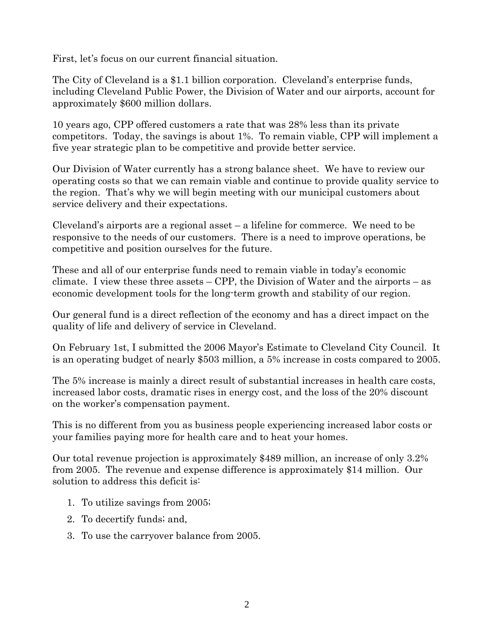First, let's focus on our current financial situation.

The City of Cleveland is a \$1.1 billion corporation. Cleveland's enterprise funds, including Cleveland Public Power, the Division of Water and our airports, account for approximately \$600 million dollars.

10 years ago, CPP offered customers a rate that was 28% less than its private competitors. Today, the savings is about 1%. To remain viable, CPP will implement a five year strategic plan to be competitive and provide better service.

Our Division of Water currently has a strong balance sheet. We have to review our operating costs so that we can remain viable and continue to provide quality service to the region. That's why we will begin meeting with our municipal customers about service delivery and their expectations.

Cleveland's airports are a regional asset – a lifeline for commerce. We need to be responsive to the needs of our customers. There is a need to improve operations, be competitive and position ourselves for the future.

These and all of our enterprise funds need to remain viable in today's economic climate. I view these three assets – CPP, the Division of Water and the airports – as economic development tools for the long-term growth and stability of our region.

Our general fund is a direct reflection of the economy and has a direct impact on the quality of life and delivery of service in Cleveland.

On February 1st, I submitted the 2006 Mayor's Estimate to Cleveland City Council. It is an operating budget of nearly \$503 million, a 5% increase in costs compared to 2005.

The 5% increase is mainly a direct result of substantial increases in health care costs, increased labor costs, dramatic rises in energy cost, and the loss of the 20% discount on the worker's compensation payment.

This is no different from you as business people experiencing increased labor costs or your families paying more for health care and to heat your homes.

Our total revenue projection is approximately \$489 million, an increase of only 3.2% from 2005. The revenue and expense difference is approximately \$14 million. Our solution to address this deficit is:

- 1. To utilize savings from 2005;
- 2. To decertify funds; and,
- 3. To use the carryover balance from 2005.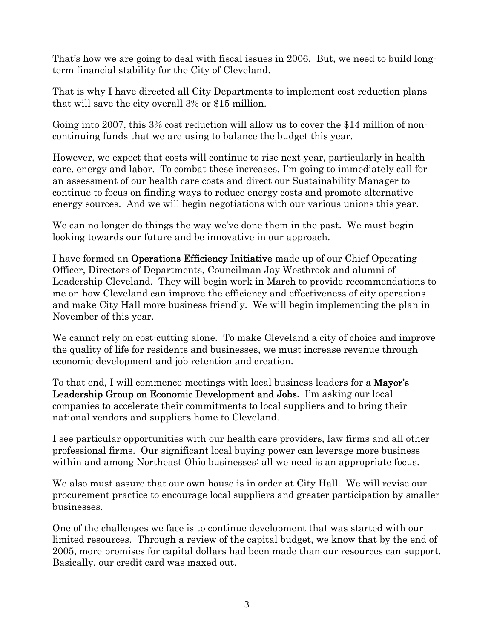That's how we are going to deal with fiscal issues in 2006. But, we need to build longterm financial stability for the City of Cleveland.

That is why I have directed all City Departments to implement cost reduction plans that will save the city overall 3% or \$15 million.

Going into 2007, this 3% cost reduction will allow us to cover the \$14 million of noncontinuing funds that we are using to balance the budget this year.

However, we expect that costs will continue to rise next year, particularly in health care, energy and labor. To combat these increases, I'm going to immediately call for an assessment of our health care costs and direct our Sustainability Manager to continue to focus on finding ways to reduce energy costs and promote alternative energy sources. And we will begin negotiations with our various unions this year.

We can no longer do things the way we've done them in the past. We must begin looking towards our future and be innovative in our approach.

I have formed an Operations Efficiency Initiative made up of our Chief Operating Officer, Directors of Departments, Councilman Jay Westbrook and alumni of Leadership Cleveland. They will begin work in March to provide recommendations to me on how Cleveland can improve the efficiency and effectiveness of city operations and make City Hall more business friendly. We will begin implementing the plan in November of this year.

We cannot rely on cost-cutting alone. To make Cleveland a city of choice and improve the quality of life for residents and businesses, we must increase revenue through economic development and job retention and creation.

To that end, I will commence meetings with local business leaders for a **Mayor's** Leadership Group on Economic Development and Jobs. I'm asking our local companies to accelerate their commitments to local suppliers and to bring their national vendors and suppliers home to Cleveland.

I see particular opportunities with our health care providers, law firms and all other professional firms. Our significant local buying power can leverage more business within and among Northeast Ohio businesses: all we need is an appropriate focus.

We also must assure that our own house is in order at City Hall. We will revise our procurement practice to encourage local suppliers and greater participation by smaller businesses.

One of the challenges we face is to continue development that was started with our limited resources. Through a review of the capital budget, we know that by the end of 2005, more promises for capital dollars had been made than our resources can support. Basically, our credit card was maxed out.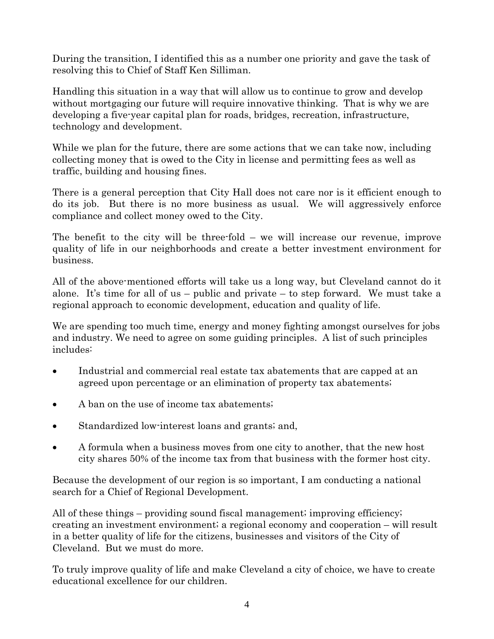During the transition, I identified this as a number one priority and gave the task of resolving this to Chief of Staff Ken Silliman.

Handling this situation in a way that will allow us to continue to grow and develop without mortgaging our future will require innovative thinking. That is why we are developing a five-year capital plan for roads, bridges, recreation, infrastructure, technology and development.

While we plan for the future, there are some actions that we can take now, including collecting money that is owed to the City in license and permitting fees as well as traffic, building and housing fines.

There is a general perception that City Hall does not care nor is it efficient enough to do its job. But there is no more business as usual. We will aggressively enforce compliance and collect money owed to the City.

The benefit to the city will be three-fold – we will increase our revenue, improve quality of life in our neighborhoods and create a better investment environment for business.

All of the above-mentioned efforts will take us a long way, but Cleveland cannot do it alone. It's time for all of us – public and private – to step forward. We must take a regional approach to economic development, education and quality of life.

We are spending too much time, energy and money fighting amongst ourselves for jobs and industry. We need to agree on some guiding principles. A list of such principles includes:

- Industrial and commercial real estate tax abatements that are capped at an agreed upon percentage or an elimination of property tax abatements;
- A ban on the use of income tax abatements;
- Standardized low-interest loans and grants; and,
- A formula when a business moves from one city to another, that the new host city shares 50% of the income tax from that business with the former host city.

Because the development of our region is so important, I am conducting a national search for a Chief of Regional Development.

All of these things – providing sound fiscal management; improving efficiency; creating an investment environment; a regional economy and cooperation – will result in a better quality of life for the citizens, businesses and visitors of the City of Cleveland. But we must do more.

To truly improve quality of life and make Cleveland a city of choice, we have to create educational excellence for our children.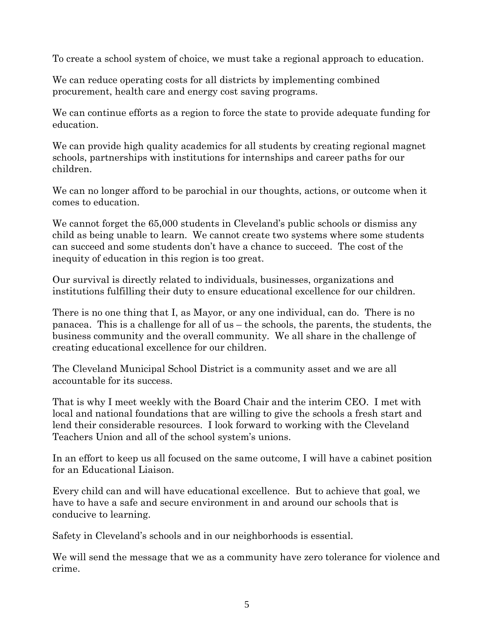To create a school system of choice, we must take a regional approach to education.

We can reduce operating costs for all districts by implementing combined procurement, health care and energy cost saving programs.

We can continue efforts as a region to force the state to provide adequate funding for education.

We can provide high quality academics for all students by creating regional magnet schools, partnerships with institutions for internships and career paths for our children.

We can no longer afford to be parochial in our thoughts, actions, or outcome when it comes to education.

We cannot forget the 65,000 students in Cleveland's public schools or dismiss any child as being unable to learn. We cannot create two systems where some students can succeed and some students don't have a chance to succeed. The cost of the inequity of education in this region is too great.

Our survival is directly related to individuals, businesses, organizations and institutions fulfilling their duty to ensure educational excellence for our children.

There is no one thing that I, as Mayor, or any one individual, can do. There is no panacea. This is a challenge for all of us – the schools, the parents, the students, the business community and the overall community. We all share in the challenge of creating educational excellence for our children.

The Cleveland Municipal School District is a community asset and we are all accountable for its success.

That is why I meet weekly with the Board Chair and the interim CEO. I met with local and national foundations that are willing to give the schools a fresh start and lend their considerable resources. I look forward to working with the Cleveland Teachers Union and all of the school system's unions.

In an effort to keep us all focused on the same outcome, I will have a cabinet position for an Educational Liaison.

Every child can and will have educational excellence. But to achieve that goal, we have to have a safe and secure environment in and around our schools that is conducive to learning.

Safety in Cleveland's schools and in our neighborhoods is essential.

We will send the message that we as a community have zero tolerance for violence and crime.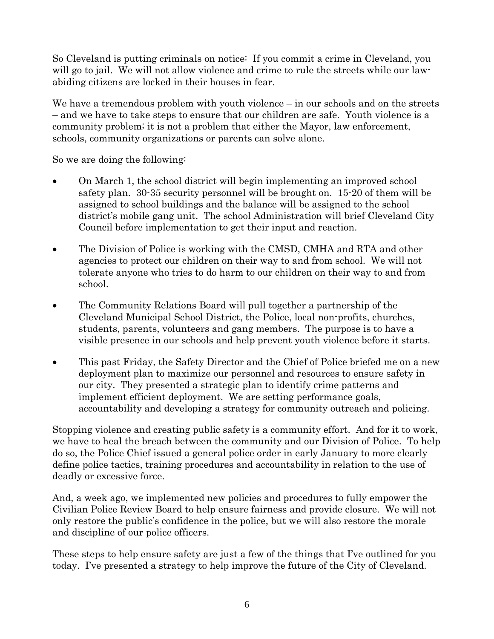So Cleveland is putting criminals on notice: If you commit a crime in Cleveland, you will go to jail. We will not allow violence and crime to rule the streets while our lawabiding citizens are locked in their houses in fear.

We have a tremendous problem with youth violence – in our schools and on the streets – and we have to take steps to ensure that our children are safe. Youth violence is a community problem; it is not a problem that either the Mayor, law enforcement, schools, community organizations or parents can solve alone.

So we are doing the following:

- On March 1, the school district will begin implementing an improved school safety plan. 30-35 security personnel will be brought on. 15-20 of them will be assigned to school buildings and the balance will be assigned to the school district's mobile gang unit. The school Administration will brief Cleveland City Council before implementation to get their input and reaction.
- The Division of Police is working with the CMSD, CMHA and RTA and other agencies to protect our children on their way to and from school. We will not tolerate anyone who tries to do harm to our children on their way to and from school.
- The Community Relations Board will pull together a partnership of the Cleveland Municipal School District, the Police, local non-profits, churches, students, parents, volunteers and gang members. The purpose is to have a visible presence in our schools and help prevent youth violence before it starts.
- This past Friday, the Safety Director and the Chief of Police briefed me on a new deployment plan to maximize our personnel and resources to ensure safety in our city. They presented a strategic plan to identify crime patterns and implement efficient deployment. We are setting performance goals, accountability and developing a strategy for community outreach and policing.

Stopping violence and creating public safety is a community effort. And for it to work, we have to heal the breach between the community and our Division of Police. To help do so, the Police Chief issued a general police order in early January to more clearly define police tactics, training procedures and accountability in relation to the use of deadly or excessive force.

And, a week ago, we implemented new policies and procedures to fully empower the Civilian Police Review Board to help ensure fairness and provide closure. We will not only restore the public's confidence in the police, but we will also restore the morale and discipline of our police officers.

These steps to help ensure safety are just a few of the things that I've outlined for you today. I've presented a strategy to help improve the future of the City of Cleveland.